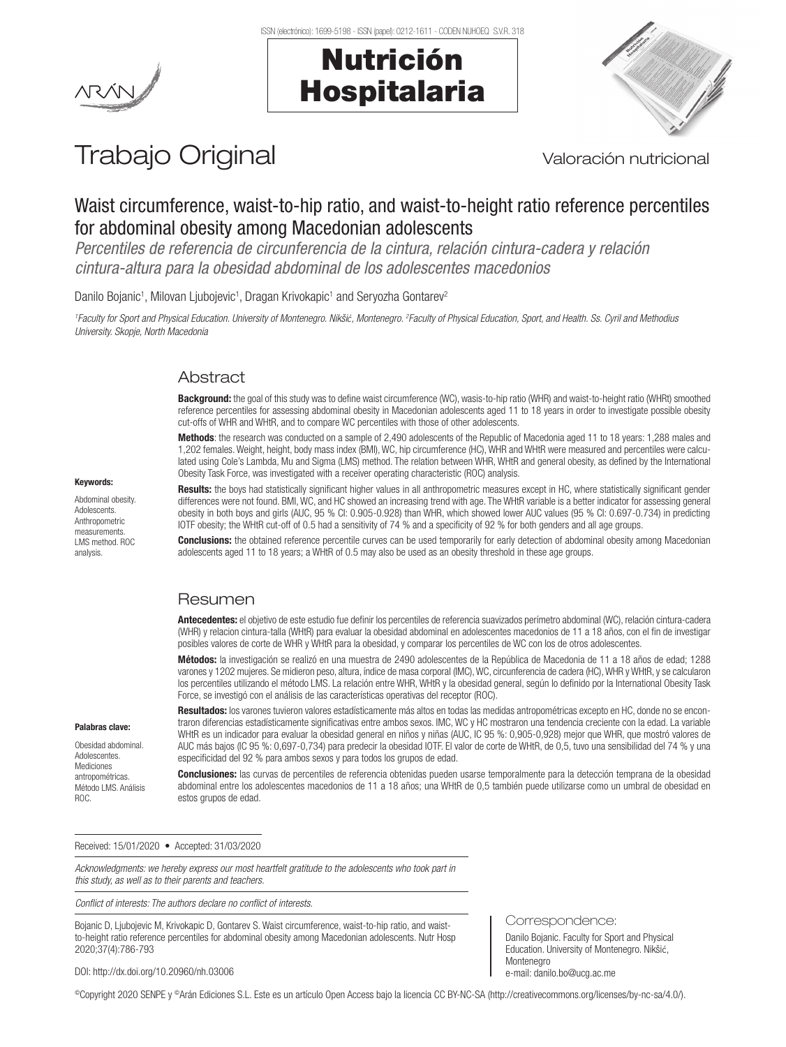

## Nutrición Hospitalaria



# Trabajo Original Valoración nutricional

## Waist circumference, waist-to-hip ratio, and waist-to-height ratio reference percentiles for abdominal obesity among Macedonian adolescents

*Percentiles de referencia de circunferencia de la cintura, relación cintura-cadera y relación cintura-altura para la obesidad abdominal de los adolescentes macedonios*

Danilo Bojanic<sup>1</sup>, Milovan Ljubojevic<sup>1</sup>, Dragan Krivokapic<sup>1</sup> and Seryozha Gontarev<sup>2</sup>

<sup>1</sup> Faculty for Sport and Physical Education. University of Montenegro. Nikšić, Montenegro. <sup>2</sup> Faculty of Physical Education, Sport, and Health. Ss. Cyril and Methodius *University. Skopje, North Macedonia*

### Abstract

Background: the goal of this study was to define waist circumference (WC), wasis-to-hip ratio (WHR) and waist-to-height ratio (WHRt) smoothed reference percentiles for assessing abdominal obesity in Macedonian adolescents aged 11 to 18 years in order to investigate possible obesity cut-offs of WHR and WHtR, and to compare WC percentiles with those of other adolescents.

Methods: the research was conducted on a sample of 2,490 adolescents of the Republic of Macedonia aged 11 to 18 years: 1,288 males and 1,202 females. Weight, height, body mass index (BMI), WC, hip circumference (HC), WHR and WHtR were measured and percentiles were calculated using Cole's Lambda, Mu and Sigma (LMS) method. The relation between WHR, WHtR and general obesity, as defined by the International Obesity Task Force, was investigated with a receiver operating characteristic (ROC) analysis.

Results: the boys had statistically significant higher values in all anthropometric measures except in HC, where statistically significant gender differences were not found. BMI, WC, and HC showed an increasing trend with age. The WHtR variable is a better indicator for assessing general obesity in both boys and girls (AUC, 95 % CI: 0.905-0.928) than WHR, which showed lower AUC values (95 % CI: 0.697-0.734) in predicting IOTF obesity; the WHtR cut-off of 0.5 had a sensitivity of 74 % and a specificity of 92 % for both genders and all age groups.

Conclusions: the obtained reference percentile curves can be used temporarily for early detection of abdominal obesity among Macedonian adolescents aged 11 to 18 years; a WHtR of 0.5 may also be used as an obesity threshold in these age groups.

### Resumen

Antecedentes: el objetivo de este estudio fue definir los percentiles de referencia suavizados perímetro abdominal (WC), relación cintura-cadera (WHR) y relacion cintura-talla (WHtR) para evaluar la obesidad abdominal en adolescentes macedonios de 11 a 18 años, con el fin de investigar posibles valores de corte de WHR y WHtR para la obesidad, y comparar los percentiles de WC con los de otros adolescentes.

Métodos: la investigación se realizó en una muestra de 2490 adolescentes de la República de Macedonia de 11 a 18 años de edad; 1288 varones y 1202 mujeres. Se midieron peso, altura, índice de masa corporal (IMC), WC, circunferencia de cadera (HC), WHR y WHtR, y se calcularon los percentiles utilizando el método LMS. La relación entre WHR, WHtR y la obesidad general, según lo definido por la International Obesity Task Force, se investigó con el análisis de las características operativas del receptor (ROC).

Resultados: los varones tuvieron valores estadísticamente más altos en todas las medidas antropométricas excepto en HC, donde no se encontraron diferencias estadísticamente significativas entre ambos sexos. IMC, WC y HC mostraron una tendencia creciente con la edad. La variable WHtR es un indicador para evaluar la obesidad general en niños y niñas (AUC, IC 95 %: 0,905-0,928) mejor que WHR, que mostró valores de AUC más bajos (IC 95 %: 0,697-0,734) para predecir la obesidad IOTF. El valor de corte de WHtR, de 0,5, tuvo una sensibilidad del 74 % y una especificidad del 92 % para ambos sexos y para todos los grupos de edad.

Conclusiones: las curvas de percentiles de referencia obtenidas pueden usarse temporalmente para la detección temprana de la obesidad abdominal entre los adolescentes macedonios de 11 a 18 años; una WHtR de 0,5 también puede utilizarse como un umbral de obesidad en estos grupos de edad.

Received: 15/01/2020 • Accepted: 31/03/2020

*Acknowledgments: we hereby express our most heartfelt gratitude to the adolescents who took part in this study, as well as to their parents and teachers.* 

*Conflict of interests: The authors declare no conflict of interests.*

Bojanic D, Ljubojevic M, Krivokapic D, Gontarev S. Waist circumference, waist-to-hip ratio, and waistto-height ratio reference percentiles for abdominal obesity among Macedonian adolescents. Nutr Hosp 2020;37(4):786-793

DOI: http://dx.doi.org/10.20960/nh.03006

©Copyright 2020 SENPE y ©Arán Ediciones S.L. Este es un artículo Open Access bajo la licencia CC BY-NC-SA (http://creativecommons.org/licenses/by-nc-sa/4.0/).

#### Keywords:

Abdominal obesity. **Adolescents** Anthropometric measurements. LMS method. ROC analysis.

Palabras clave: Obesidad abdominal. **Adolescentes** Mediciones antropométricas. Método LMS. Análisis

ROC.

Correspondence:

Danilo Bojanic. Faculty for Sport and Physical Education. University of Montenegro. Nikšić, Montenegro e-mail: danilo.bo@ucg.ac.me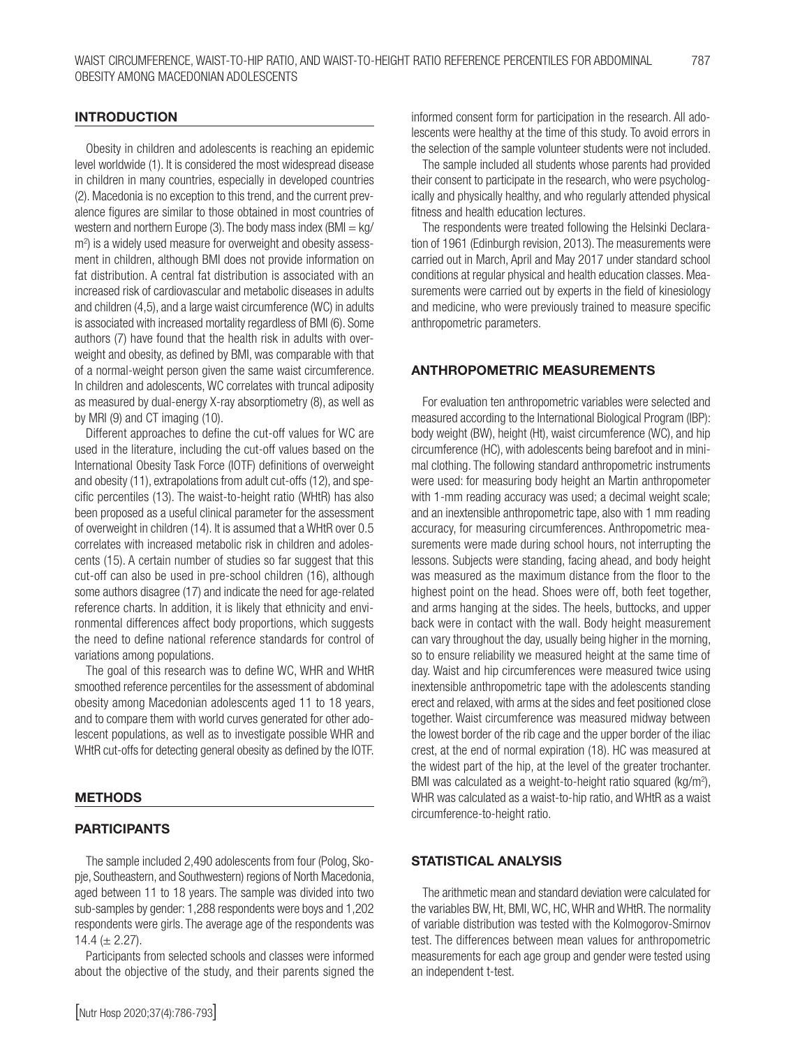#### INTRODUCTION

Obesity in children and adolescents is reaching an epidemic level worldwide (1). It is considered the most widespread disease in children in many countries, especially in developed countries (2). Macedonia is no exception to this trend, and the current prevalence figures are similar to those obtained in most countries of western and northern Europe (3). The body mass index  $(BMI = kg/$ m<sup>2</sup>) is a widely used measure for overweight and obesity assessment in children, although BMI does not provide information on fat distribution. A central fat distribution is associated with an increased risk of cardiovascular and metabolic diseases in adults and children (4,5), and a large waist circumference (WC) in adults is associated with increased mortality regardless of BMI (6). Some authors (7) have found that the health risk in adults with overweight and obesity, as defined by BMI, was comparable with that of a normal-weight person given the same waist circumference. In children and adolescents, WC correlates with truncal adiposity as measured by dual-energy X-ray absorptiometry (8), as well as by MRI (9) and CT imaging (10).

Different approaches to define the cut-off values for WC are used in the literature, including the cut-off values based on the International Obesity Task Force (IOTF) definitions of overweight and obesity (11), extrapolations from adult cut-offs (12), and specific percentiles (13). The waist-to-height ratio (WHtR) has also been proposed as a useful clinical parameter for the assessment of overweight in children (14). It is assumed that a WHtR over 0.5 correlates with increased metabolic risk in children and adolescents (15). A certain number of studies so far suggest that this cut-off can also be used in pre-school children (16), although some authors disagree (17) and indicate the need for age-related reference charts. In addition, it is likely that ethnicity and environmental differences affect body proportions, which suggests the need to define national reference standards for control of variations among populations.

The goal of this research was to define WC, WHR and WHtR smoothed reference percentiles for the assessment of abdominal obesity among Macedonian adolescents aged 11 to 18 years, and to compare them with world curves generated for other adolescent populations, as well as to investigate possible WHR and WHtR cut-offs for detecting general obesity as defined by the IOTF.

#### METHODS

#### PARTICIPANTS

The sample included 2,490 adolescents from four (Polog, Skopje, Southeastern, and Southwestern) regions of North Macedonia, aged between 11 to 18 years. The sample was divided into two sub-samples by gender: 1,288 respondents were boys and 1,202 respondents were girls. The average age of the respondents was 14.4 ( $\pm$  2.27).

Participants from selected schools and classes were informed about the objective of the study, and their parents signed the informed consent form for participation in the research. All adolescents were healthy at the time of this study. To avoid errors in the selection of the sample volunteer students were not included.

The sample included all students whose parents had provided their consent to participate in the research, who were psychologically and physically healthy, and who regularly attended physical fitness and health education lectures.

The respondents were treated following the Helsinki Declaration of 1961 (Edinburgh revision, 2013). The measurements were carried out in March, April and May 2017 under standard school conditions at regular physical and health education classes. Measurements were carried out by experts in the field of kinesiology and medicine, who were previously trained to measure specific anthropometric parameters.

#### ANTHROPOMETRIC MEASUREMENTS

For evaluation ten anthropometric variables were selected and measured according to the International Biological Program (IBP): body weight (BW), height (Ht), waist circumference (WC), and hip circumference (HC), with adolescents being barefoot and in minimal clothing. The following standard anthropometric instruments were used: for measuring body height an Martin anthropometer with 1-mm reading accuracy was used; a decimal weight scale; and an inextensible anthropometric tape, also with 1 mm reading accuracy, for measuring circumferences. Anthropometric measurements were made during school hours, not interrupting the lessons. Subjects were standing, facing ahead, and body height was measured as the maximum distance from the floor to the highest point on the head. Shoes were off, both feet together, and arms hanging at the sides. The heels, buttocks, and upper back were in contact with the wall. Body height measurement can vary throughout the day, usually being higher in the morning, so to ensure reliability we measured height at the same time of day. Waist and hip circumferences were measured twice using inextensible anthropometric tape with the adolescents standing erect and relaxed, with arms at the sides and feet positioned close together. Waist circumference was measured midway between the lowest border of the rib cage and the upper border of the iliac crest, at the end of normal expiration (18). HC was measured at the widest part of the hip, at the level of the greater trochanter. BMI was calculated as a weight-to-height ratio squared (kg/m<sup>2</sup>), WHR was calculated as a waist-to-hip ratio, and WHtR as a waist circumference-to-height ratio.

#### STATISTICAL ANALYSIS

The arithmetic mean and standard deviation were calculated for the variables BW, Ht, BMI, WC, HC, WHR and WHtR. The normality of variable distribution was tested with the Kolmogorov-Smirnov test. The differences between mean values for anthropometric measurements for each age group and gender were tested using an independent t-test.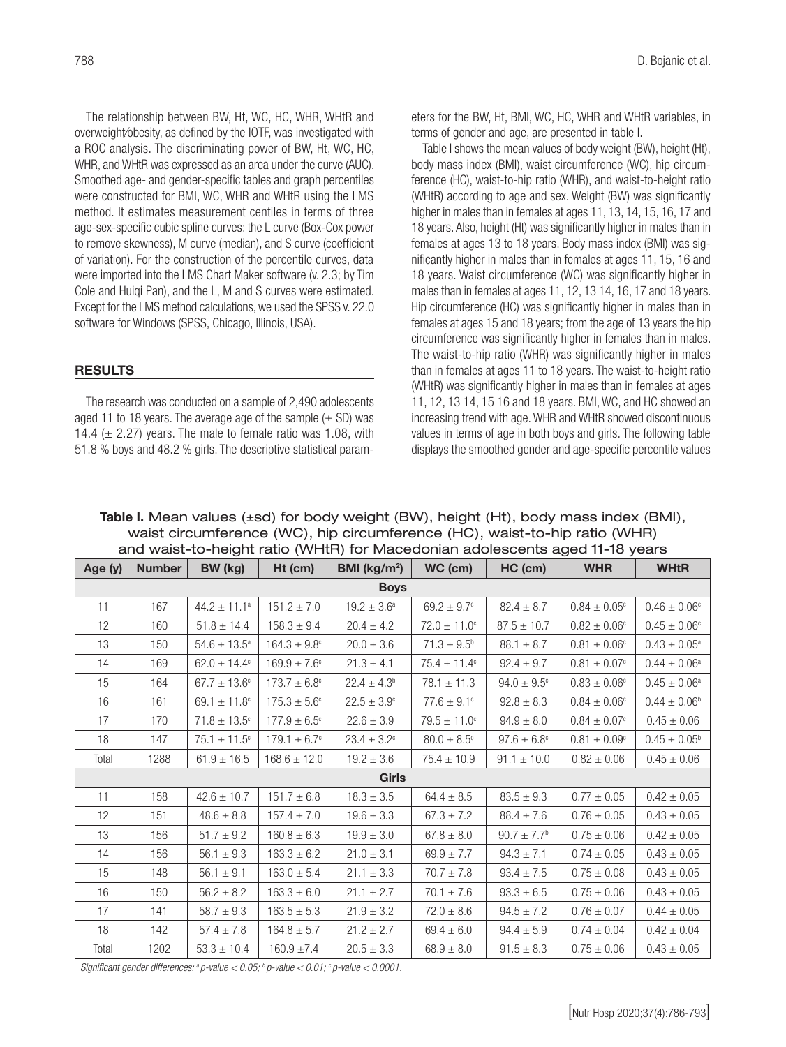The relationship between BW, Ht, WC, HC, WHR, WHtR and overweight⁄obesity, as defined by the IOTF, was investigated with a ROC analysis. The discriminating power of BW, Ht, WC, HC, WHR, and WHtR was expressed as an area under the curve (AUC). Smoothed age- and gender-specific tables and graph percentiles were constructed for BMI, WC, WHR and WHtR using the LMS method. It estimates measurement centiles in terms of three age-sex-specific cubic spline curves: the L curve (Box-Cox power to remove skewness), M curve (median), and S curve (coefficient of variation). For the construction of the percentile curves, data were imported into the LMS Chart Maker software (v. 2.3; by Tim Cole and Huiqi Pan), and the L, M and S curves were estimated. Except for the LMS method calculations, we used the SPSS v. 22.0 software for Windows (SPSS, Chicago, Illinois, USA).

#### RESULTS

The research was conducted on a sample of 2,490 adolescents aged 11 to 18 years. The average age of the sample  $(\pm$  SD) was 14.4 ( $\pm$  2.27) years. The male to female ratio was 1.08, with 51.8 % boys and 48.2 % girls. The descriptive statistical parameters for the BW, Ht, BMI, WC, HC, WHR and WHtR variables, in terms of gender and age, are presented in table I.

Table I shows the mean values of body weight (BW), height (Ht), body mass index (BMI), waist circumference (WC), hip circumference (HC), waist-to-hip ratio (WHR), and waist-to-height ratio (WHtR) according to age and sex. Weight (BW) was significantly higher in males than in females at ages 11, 13, 14, 15, 16, 17 and 18 years. Also, height (Ht) was significantly higher in males than in females at ages 13 to 18 years. Body mass index (BMI) was significantly higher in males than in females at ages 11, 15, 16 and 18 years. Waist circumference (WC) was significantly higher in males than in females at ages 11, 12, 13 14, 16, 17 and 18 years. Hip circumference (HC) was significantly higher in males than in females at ages 15 and 18 years; from the age of 13 years the hip circumference was significantly higher in females than in males. The waist-to-hip ratio (WHR) was significantly higher in males than in females at ages 11 to 18 years. The waist-to-height ratio (WHtR) was significantly higher in males than in females at ages 11, 12, 13 14, 15 16 and 18 years. BMI, WC, and HC showed an increasing trend with age. WHR and WHtR showed discontinuous values in terms of age in both boys and girls. The following table displays the smoothed gender and age-specific percentile values

Table I. Mean values (±sd) for body weight (BW), height (Ht), body mass index (BMI), waist circumference (WC), hip circumference (HC), waist-to-hip ratio (WHR) and waist-to-height ratio (WHtR) for Macedonian adolescents aged 11-18 years

| Age (y)      | <b>Number</b> | BW (kg)                      | Ht (cm)                 | BMI ( $\text{kg/m}^2$ ) | WC (cm)                 | HC (cm)                | <b>WHR</b>              | <b>WHtR</b>                |  |
|--------------|---------------|------------------------------|-------------------------|-------------------------|-------------------------|------------------------|-------------------------|----------------------------|--|
| <b>Boys</b>  |               |                              |                         |                         |                         |                        |                         |                            |  |
| 11           | 167           | $44.2 \pm 11.1^a$            | $151.2 \pm 7.0$         | $19.2 \pm 3.6^a$        | $69.2 \pm 9.7^{\circ}$  | $82.4 \pm 8.7$         | $0.84 \pm 0.05^{\circ}$ | $0.46 \pm 0.06^{\circ}$    |  |
| 12           | 160           | $51.8 \pm 14.4$              | $158.3 \pm 9.4$         | $20.4 \pm 4.2$          | $72.0 \pm 11.0^{\circ}$ | $87.5 \pm 10.7$        | $0.82 \pm 0.06^{\circ}$ | $0.45 \pm 0.06^{\circ}$    |  |
| 13           | 150           | $54.6 \pm 13.5^{\circ}$      | $164.3 \pm 9.8^{\circ}$ | $20.0 \pm 3.6$          | $71.3 \pm 9.5^{\circ}$  | $88.1 \pm 8.7$         | $0.81 \pm 0.06^{\circ}$ | $0.43 \pm 0.05^{\text{a}}$ |  |
| 14           | 169           | $62.0 \pm 14.4^{\circ}$      | $169.9 \pm 7.6^{\circ}$ | $21.3 \pm 4.1$          | $75.4 \pm 11.4^{\circ}$ | $92.4 \pm 9.7$         | $0.81\pm0.07^{\circ}$   | $0.44 \pm 0.06^{\text{a}}$ |  |
| 15           | 164           | $67.7 \pm 13.6^{\circ}$      | $173.7 \pm 6.8^{\circ}$ | $22.4 \pm 4.3^b$        | $78.1 \pm 11.3$         | $94.0 \pm 9.5^{\circ}$ | $0.83 \pm 0.06^{\circ}$ | $0.45 \pm 0.06^a$          |  |
| 16           | 161           | $69.1 \pm 11.8$ <sup>c</sup> | $175.3 \pm 5.6^{\circ}$ | $22.5 \pm 3.9^{\circ}$  | $77.6 \pm 9.1^{\circ}$  | $92.8 \pm 8.3$         | $0.84\pm0.06^{\circ}$   | $0.44 \pm 0.06^{\circ}$    |  |
| 17           | 170           | $71.8 \pm 13.5^{\circ}$      | $177.9 \pm 6.5^{\circ}$ | $22.6 \pm 3.9$          | $79.5 \pm 11.0^{\circ}$ | $94.9 \pm 8.0$         | $0.84\pm0.07^{\circ}$   | $0.45 \pm 0.06$            |  |
| 18           | 147           | $75.1 \pm 11.5^{\circ}$      | $179.1 \pm 6.7^{\circ}$ | $23.4 \pm 3.2^{\circ}$  | $80.0 \pm 8.5^{\circ}$  | $97.6 \pm 6.8^{\circ}$ | $0.81\pm0.09^{\circ}$   | $0.45 \pm 0.05^{\rm b}$    |  |
| Total        | 1288          | $61.9 \pm 16.5$              | $168.6 \pm 12.0$        | $19.2 \pm 3.6$          | $75.4 \pm 10.9$         | $91.1 \pm 10.0$        | $0.82 \pm 0.06$         | $0.45 \pm 0.06$            |  |
| <b>Girls</b> |               |                              |                         |                         |                         |                        |                         |                            |  |
| 11           | 158           | $42.6 \pm 10.7$              | $151.7 \pm 6.8$         | $18.3 \pm 3.5$          | $64.4 \pm 8.5$          | $83.5 \pm 9.3$         | $0.77 \pm 0.05$         | $0.42 \pm 0.05$            |  |
| 12           | 151           | $48.6 \pm 8.8$               | $157.4 \pm 7.0$         | $19.6 \pm 3.3$          | $67.3 \pm 7.2$          | $88.4 \pm 7.6$         | $0.76 \pm 0.05$         | $0.43 \pm 0.05$            |  |
| 13           | 156           | $51.7 \pm 9.2$               | $160.8 \pm 6.3$         | $19.9 \pm 3.0$          | $67.8 \pm 8.0$          | $90.7 \pm 7.7^{\circ}$ | $0.75 \pm 0.06$         | $0.42 \pm 0.05$            |  |
| 14           | 156           | $56.1 \pm 9.3$               | $163.3 \pm 6.2$         | $21.0 \pm 3.1$          | $69.9 \pm 7.7$          | $94.3 \pm 7.1$         | $0.74 \pm 0.05$         | $0.43 \pm 0.05$            |  |
| 15           | 148           | $56.1 \pm 9.1$               | $163.0 \pm 5.4$         | $21.1 \pm 3.3$          | $70.7 \pm 7.8$          | $93.4 \pm 7.5$         | $0.75 \pm 0.08$         | $0.43 \pm 0.05$            |  |
| 16           | 150           | $56.2 \pm 8.2$               | $163.3 \pm 6.0$         | $21.1 \pm 2.7$          | $70.1 \pm 7.6$          | $93.3 \pm 6.5$         | $0.75 \pm 0.06$         | $0.43 \pm 0.05$            |  |
| 17           | 141           | $58.7 \pm 9.3$               | $163.5 \pm 5.3$         | $21.9 \pm 3.2$          | $72.0 \pm 8.6$          | $94.5 \pm 7.2$         | $0.76 \pm 0.07$         | $0.44 \pm 0.05$            |  |
| 18           | 142           | $57.4 \pm 7.8$               | $164.8 \pm 5.7$         | $21.2 \pm 2.7$          | $69.4 \pm 6.0$          | $94.4 \pm 5.9$         | $0.74 \pm 0.04$         | $0.42 \pm 0.04$            |  |
| Total        | 1202          | $53.3 \pm 10.4$              | $160.9 \pm 7.4$         | $20.5 \pm 3.3$          | $68.9 \pm 8.0$          | $91.5 \pm 8.3$         | $0.75 \pm 0.06$         | $0.43 \pm 0.05$            |  |

*Significant gender differences: a p-value < 0.05; b p-value < 0.01; c p-value < 0.0001.*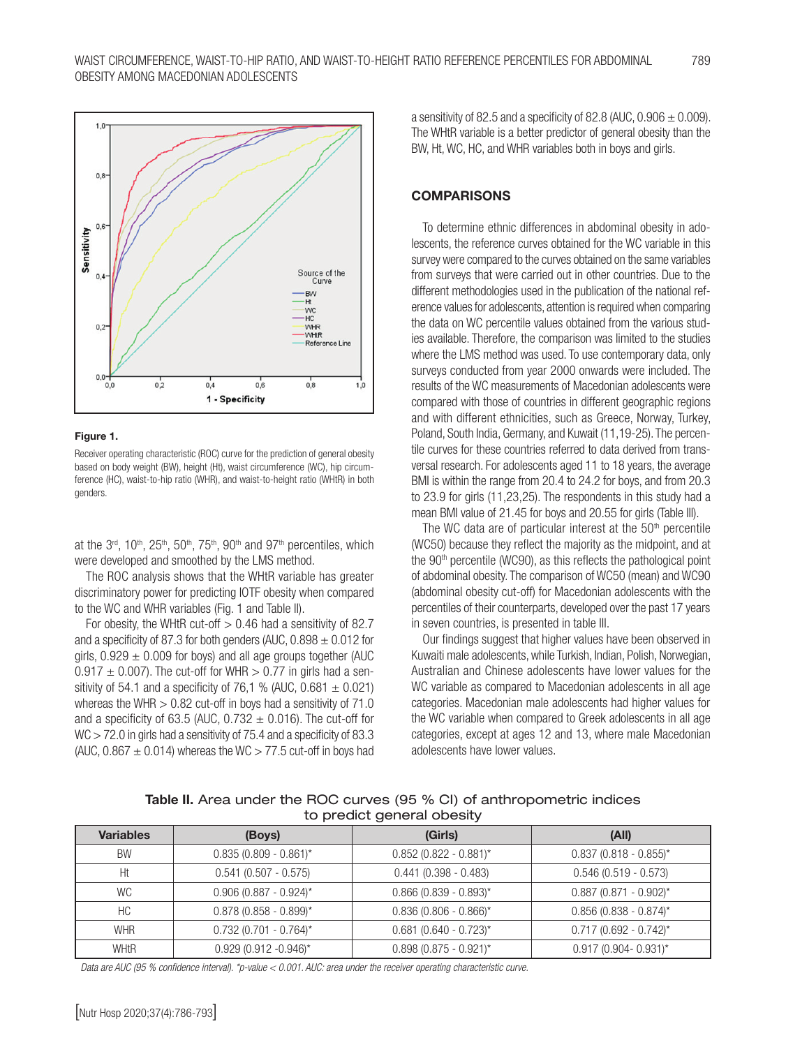

#### Figure 1.

Receiver operating characteristic (ROC) curve for the prediction of general obesity based on body weight (BW), height (Ht), waist circumference (WC), hip circumference (HC), waist-to-hip ratio (WHR), and waist-to-height ratio (WHtR) in both genders.

at the  $3<sup>rd</sup>$ ,  $10<sup>th</sup>$ ,  $25<sup>th</sup>$ ,  $50<sup>th</sup>$ ,  $75<sup>th</sup>$ ,  $90<sup>th</sup>$  and  $97<sup>th</sup>$  percentiles, which were developed and smoothed by the LMS method.

The ROC analysis shows that the WHtR variable has greater discriminatory power for predicting IOTF obesity when compared to the WC and WHR variables (Fig. 1 and Table II).

For obesity, the WHtR cut-off  $> 0.46$  had a sensitivity of 82.7 and a specificity of 87.3 for both genders (AUC,  $0.898 \pm 0.012$  for girls,  $0.929 \pm 0.009$  for boys) and all age groups together (AUC  $0.917 \pm 0.007$ ). The cut-off for WHR  $> 0.77$  in girls had a sensitivity of 54.1 and a specificity of 76,1 % (AUC,  $0.681 \pm 0.021$ ) whereas the WHR  $> 0.82$  cut-off in boys had a sensitivity of 71.0 and a specificity of 63.5 (AUC,  $0.732 \pm 0.016$ ). The cut-off for WC > 72.0 in girls had a sensitivity of 75.4 and a specificity of 83.3 (AUC,  $0.867 \pm 0.014$ ) whereas the WC  $> 77.5$  cut-off in boys had a sensitivity of 82.5 and a specificity of 82.8 (AUC,  $0.906 \pm 0.009$ ). The WHtR variable is a better predictor of general obesity than the BW, Ht, WC, HC, and WHR variables both in boys and girls.

#### **COMPARISONS**

To determine ethnic differences in abdominal obesity in adolescents, the reference curves obtained for the WC variable in this survey were compared to the curves obtained on the same variables from surveys that were carried out in other countries. Due to the different methodologies used in the publication of the national reference values for adolescents, attention is required when comparing the data on WC percentile values obtained from the various studies available. Therefore, the comparison was limited to the studies where the LMS method was used. To use contemporary data, only surveys conducted from year 2000 onwards were included. The results of the WC measurements of Macedonian adolescents were compared with those of countries in different geographic regions and with different ethnicities, such as Greece, Norway, Turkey, Poland, South India, Germany, and Kuwait (11,19-25). The percentile curves for these countries referred to data derived from transversal research. For adolescents aged 11 to 18 years, the average BMI is within the range from 20.4 to 24.2 for boys, and from 20.3 to 23.9 for girls (11,23,25). The respondents in this study had a mean BMI value of 21.45 for boys and 20.55 for girls (Table III).

The WC data are of particular interest at the  $50<sup>th</sup>$  percentile (WC50) because they reflect the majority as the midpoint, and at the  $90<sup>th</sup>$  percentile (WC90), as this reflects the pathological point of abdominal obesity. The comparison of WC50 (mean) and WC90 (abdominal obesity cut-off) for Macedonian adolescents with the percentiles of their counterparts, developed over the past 17 years in seven countries, is presented in table III.

Our findings suggest that higher values have been observed in Kuwaiti male adolescents, while Turkish, Indian, Polish, Norwegian, Australian and Chinese adolescents have lower values for the WC variable as compared to Macedonian adolescents in all age categories. Macedonian male adolescents had higher values for the WC variable when compared to Greek adolescents in all age categories, except at ages 12 and 13, where male Macedonian adolescents have lower values.

Table II. Area under the ROC curves (95 % CI) of anthropometric indices to predict general obesity

| <b>Variables</b> | (Boys)                     | (Girls)                  | (A  )                      |
|------------------|----------------------------|--------------------------|----------------------------|
| <b>BW</b>        | $0.835(0.809 - 0.861)^{*}$ | $0.852$ (0.822 - 0.881)* | $0.837$ (0.818 - 0.855)*   |
| Ht               | $0.541(0.507 - 0.575)$     | $0.441(0.398 - 0.483)$   | $0.546(0.519 - 0.573)$     |
| WC.              | $0.906$ (0.887 - 0.924)*   | $0.866$ (0.839 - 0.893)* | $0.887$ (0.871 - 0.902)*   |
| НC               | $0.878(0.858 - 0.899)^*$   | $0.836(0.806 - 0.866)^*$ | $0.856$ (0.838 - 0.874)*   |
| <b>WHR</b>       | $0.732$ (0.701 - 0.764)*   | $0.681$ (0.640 - 0.723)* | $0.717(0.692 - 0.742)^{*}$ |
| <b>WHtR</b>      | $0.929(0.912 - 0.946)^{*}$ | $0.898$ (0.875 - 0.921)* | $0.917(0.904 - 0.931)^{*}$ |

*Data are AUC (95 % confidence interval). \*p-value < 0.001. AUC: area under the receiver operating characteristic curve.*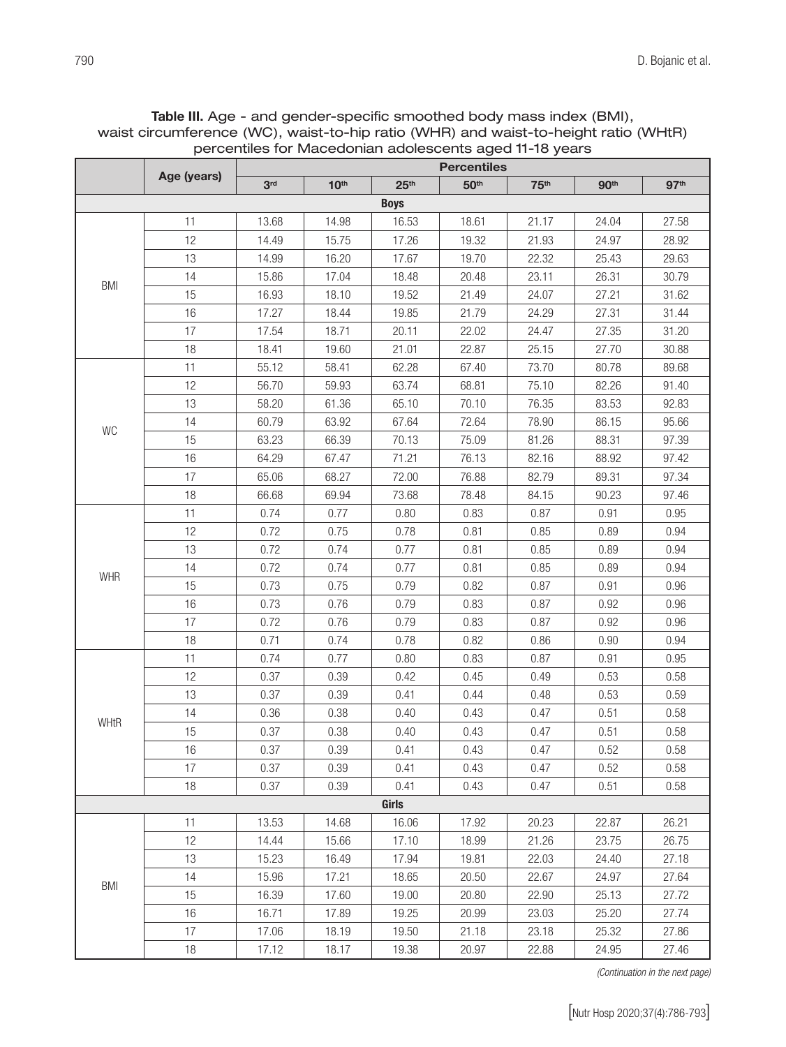|            |             | percentiles for iviacedonian adolescents aged TI-16 years<br><b>Percentiles</b> |                  |                  |                  |                  |                  |                  |  |
|------------|-------------|---------------------------------------------------------------------------------|------------------|------------------|------------------|------------------|------------------|------------------|--|
|            | Age (years) | 3 <sup>rd</sup>                                                                 | 10 <sup>th</sup> | 25 <sup>th</sup> | 50 <sup>th</sup> | 75 <sup>th</sup> | 90 <sup>th</sup> | 97 <sup>th</sup> |  |
|            |             |                                                                                 |                  | <b>Boys</b>      |                  |                  |                  |                  |  |
|            | 11          | 13.68                                                                           | 14.98            | 16.53            | 18.61            | 21.17            | 24.04            | 27.58            |  |
|            | 12          | 14.49                                                                           | 15.75            | 17.26            | 19.32            | 21.93            | 24.97            | 28.92            |  |
|            | 13          | 14.99                                                                           | 16.20            | 17.67            | 19.70            | 22.32            | 25.43            | 29.63            |  |
|            | 14          | 15.86                                                                           | 17.04            | 18.48            | 20.48            | 23.11            | 26.31            | 30.79            |  |
| <b>BMI</b> | 15          | 16.93                                                                           | 18.10            | 19.52            | 21.49            | 24.07            | 27.21            | 31.62            |  |
|            | 16          | 17.27                                                                           | 18.44            | 19.85            | 21.79            | 24.29            | 27.31            | 31.44            |  |
|            | 17          | 17.54                                                                           | 18.71            | 20.11            | 22.02            | 24.47            | 27.35            | 31.20            |  |
|            | 18          | 18.41                                                                           | 19.60            | 21.01            | 22.87            | 25.15            | 27.70            | 30.88            |  |
|            | 11          | 55.12                                                                           | 58.41            | 62.28            | 67.40            | 73.70            | 80.78            | 89.68            |  |
|            | 12          | 56.70                                                                           | 59.93            | 63.74            | 68.81            | 75.10            | 82.26            | 91.40            |  |
|            | 13          | 58.20                                                                           | 61.36            | 65.10            | 70.10            | 76.35            | 83.53            | 92.83            |  |
|            | 14          | 60.79                                                                           | 63.92            | 67.64            | 72.64            | 78.90            | 86.15            | 95.66            |  |
| WC         | 15          | 63.23                                                                           | 66.39            | 70.13            | 75.09            | 81.26            | 88.31            | 97.39            |  |
|            | 16          | 64.29                                                                           | 67.47            | 71.21            | 76.13            | 82.16            | 88.92            | 97.42            |  |
|            | 17          | 65.06                                                                           | 68.27            | 72.00            | 76.88            | 82.79            | 89.31            | 97.34            |  |
|            | 18          | 66.68                                                                           | 69.94            | 73.68            | 78.48            | 84.15            | 90.23            | 97.46            |  |
|            | 11          | 0.74                                                                            | 0.77             | 0.80             | 0.83             | 0.87             | 0.91             | 0.95             |  |
|            | 12          | 0.72                                                                            | 0.75             | 0.78             | 0.81             | 0.85             | 0.89             | 0.94             |  |
|            | 13          | 0.72                                                                            | 0.74             | 0.77             | 0.81             | 0.85             | 0.89             | 0.94             |  |
| <b>WHR</b> | 14          | 0.72                                                                            | 0.74             | 0.77             | 0.81             | 0.85             | 0.89             | 0.94             |  |
|            | 15          | 0.73                                                                            | 0.75             | 0.79             | 0.82             | 0.87             | 0.91             | 0.96             |  |
|            | 16          | 0.73                                                                            | 0.76             | 0.79             | 0.83             | 0.87             | 0.92             | 0.96             |  |
|            | 17          | 0.72                                                                            | 0.76             | 0.79             | 0.83             | 0.87             | 0.92             | 0.96             |  |
|            | 18          | 0.71                                                                            | 0.74             | 0.78             | 0.82             | 0.86             | 0.90             | 0.94             |  |
|            | 11          | 0.74                                                                            | 0.77             | 0.80             | 0.83             | 0.87             | 0.91             | 0.95             |  |
|            | 12          | 0.37                                                                            | 0.39             | 0.42             | 0.45             | 0.49             | 0.53             | 0.58             |  |
|            | 13          | 0.37                                                                            | 0.39             | 0.41             | 0.44             | 0.48             | 0.53             | 0.59             |  |
| WHtR       | 14          | 0.36                                                                            | 0.38             | 0.40             | 0.43             | 0.47             | 0.51             | 0.58             |  |
|            | 15          | 0.37                                                                            | 0.38             | 0.40             | 0.43             | 0.47             | 0.51             | 0.58             |  |
|            | 16          | 0.37                                                                            | 0.39             | 0.41             | 0.43             | 0.47             | 0.52             | 0.58             |  |
|            | 17          | 0.37                                                                            | 0.39             | 0.41             | 0.43             | 0.47             | 0.52             | 0.58             |  |
|            | 18          | 0.37                                                                            | 0.39             | 0.41             | 0.43             | 0.47             | 0.51             | 0.58             |  |
|            |             |                                                                                 |                  | Girls            |                  |                  |                  |                  |  |
|            | 11          | 13.53                                                                           | 14.68            | 16.06            | 17.92            | 20.23            | 22.87            | 26.21            |  |
|            | 12          | 14.44                                                                           | 15.66            | 17.10            | 18.99            | 21.26            | 23.75            | 26.75            |  |
|            | 13          | 15.23                                                                           | 16.49            | 17.94            | 19.81            | 22.03            | 24.40            | 27.18            |  |
| <b>BMI</b> | 14          | 15.96                                                                           | 17.21            | 18.65            | 20.50            | 22.67            | 24.97            | 27.64            |  |
|            | 15          | 16.39                                                                           | 17.60            | 19.00            | 20.80            | 22.90            | 25.13            | 27.72            |  |
|            | 16          | 16.71                                                                           | 17.89            | 19.25            | 20.99            | 23.03            | 25.20            | 27.74            |  |
|            | 17          | 17.06                                                                           | 18.19            | 19.50            | 21.18            | 23.18            | 25.32            | 27.86            |  |
|            | 18          | 17.12                                                                           | 18.17            | 19.38            | 20.97            | 22.88            | 24.95            | 27.46            |  |

Table III. Age - and gender-specific smoothed body mass index (BMI), waist circumference (WC), waist-to-hip ratio (WHR) and waist-to-height ratio (WHtR) percentiles for Macedonian adolescents aged 11-18 years

*(Continuation in the next page)*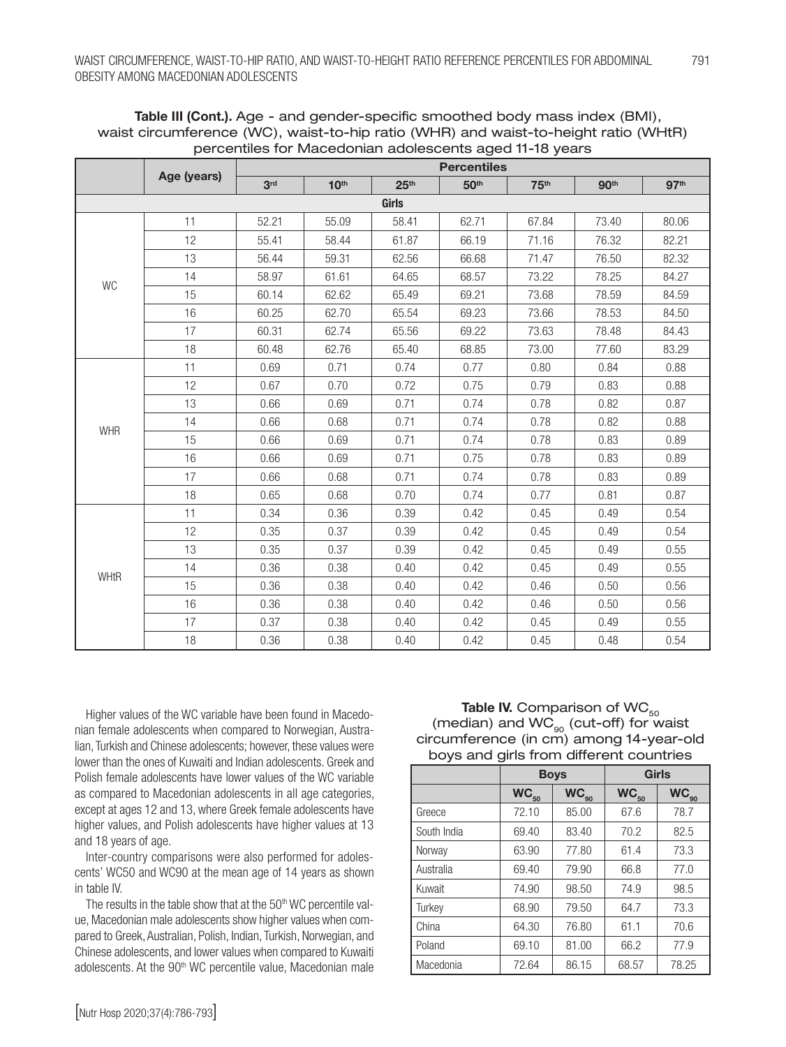|            |             | <b>Percentiles</b> |                  |                  |                  |                  |                  |                  |  |  |
|------------|-------------|--------------------|------------------|------------------|------------------|------------------|------------------|------------------|--|--|
|            | Age (years) | 3 <sup>rd</sup>    | 10 <sup>th</sup> | 25 <sup>th</sup> | 50 <sup>th</sup> | 75 <sup>th</sup> | 90 <sup>th</sup> | 97 <sup>th</sup> |  |  |
| Girls      |             |                    |                  |                  |                  |                  |                  |                  |  |  |
|            | 11          | 52.21              | 55.09            | 58.41            | 62.71            | 67.84            | 73.40            | 80.06            |  |  |
|            | 12          | 55.41              | 58.44            | 61.87            | 66.19            | 71.16            | 76.32            | 82.21            |  |  |
|            | 13          | 56.44              | 59.31            | 62.56            | 66.68            | 71.47            | 76.50            | 82.32            |  |  |
| WC         | 14          | 58.97              | 61.61            | 64.65            | 68.57            | 73.22            | 78.25            | 84.27            |  |  |
|            | 15          | 60.14              | 62.62            | 65.49            | 69.21            | 73.68            | 78.59            | 84.59            |  |  |
|            | 16          | 60.25              | 62.70            | 65.54            | 69.23            | 73.66            | 78.53            | 84.50            |  |  |
|            | 17          | 60.31              | 62.74            | 65.56            | 69.22            | 73.63            | 78.48            | 84.43            |  |  |
|            | 18          | 60.48              | 62.76            | 65.40            | 68.85            | 73.00            | 77.60            | 83.29            |  |  |
|            | 11          | 0.69               | 0.71             | 0.74             | 0.77             | 0.80             | 0.84             | 0.88             |  |  |
|            | 12          | 0.67               | 0.70             | 0.72             | 0.75             | 0.79             | 0.83             | 0.88             |  |  |
|            | 13          | 0.66               | 0.69             | 0.71             | 0.74             | 0.78             | 0.82             | 0.87             |  |  |
| <b>WHR</b> | 14          | 0.66               | 0.68             | 0.71             | 0.74             | 0.78             | 0.82             | 0.88             |  |  |
|            | 15          | 0.66               | 0.69             | 0.71             | 0.74             | 0.78             | 0.83             | 0.89             |  |  |
|            | 16          | 0.66               | 0.69             | 0.71             | 0.75             | 0.78             | 0.83             | 0.89             |  |  |
|            | 17          | 0.66               | 0.68             | 0.71             | 0.74             | 0.78             | 0.83             | 0.89             |  |  |
|            | 18          | 0.65               | 0.68             | 0.70             | 0.74             | 0.77             | 0.81             | 0.87             |  |  |
|            | 11          | 0.34               | 0.36             | 0.39             | 0.42             | 0.45             | 0.49             | 0.54             |  |  |
|            | 12          | 0.35               | 0.37             | 0.39             | 0.42             | 0.45             | 0.49             | 0.54             |  |  |
|            | 13          | 0.35               | 0.37             | 0.39             | 0.42             | 0.45             | 0.49             | 0.55             |  |  |
|            | 14          | 0.36               | 0.38             | 0.40             | 0.42             | 0.45             | 0.49             | 0.55             |  |  |
| WHtR       | 15          | 0.36               | 0.38             | 0.40             | 0.42             | 0.46             | 0.50             | 0.56             |  |  |
|            | 16          | 0.36               | 0.38             | 0.40             | 0.42             | 0.46             | 0.50             | 0.56             |  |  |
|            | 17          | 0.37               | 0.38             | 0.40             | 0.42             | 0.45             | 0.49             | 0.55             |  |  |
|            | 18          | 0.36               | 0.38             | 0.40             | 0.42             | 0.45             | 0.48             | 0.54             |  |  |

Table III (Cont.). Age - and gender-specific smoothed body mass index (BMI), waist circumference (WC), waist-to-hip ratio (WHR) and waist-to-height ratio (WHtR) percentiles for Macedonian adolescents aged 11-18 years

Higher values of the WC variable have been found in Macedonian female adolescents when compared to Norwegian, Australian, Turkish and Chinese adolescents; however, these values were lower than the ones of Kuwaiti and Indian adolescents. Greek and Polish female adolescents have lower values of the WC variable as compared to Macedonian adolescents in all age categories, except at ages 12 and 13, where Greek female adolescents have higher values, and Polish adolescents have higher values at 13 and 18 years of age.

Inter-country comparisons were also performed for adolescents' WC50 and WC90 at the mean age of 14 years as shown in table IV.

The results in the table show that at the  $50<sup>th</sup>$  WC percentile value, Macedonian male adolescents show higher values when com pared to Greek, Australian, Polish, Indian, Turkish, Norwegian, and Chinese adolescents, and lower values when compared to Kuwaiti adolescents. At the 90<sup>th</sup> WC percentile value, Macedonian male

Table IV. Comparison of  $\mathsf{WC}_{50}$ (median) and  $WC_{90}$  (cut-off) for waist circumference (in cm) among 14-year-old boys and girls from different countries

|             | <b>Boys</b> |           |           | <b>Girls</b> |
|-------------|-------------|-----------|-----------|--------------|
|             | $WC_{50}$   | $WC_{90}$ | $WC_{50}$ | $WC_{90}$    |
| Greece      | 72.10       | 85.00     | 67.6      | 78.7         |
| South India | 69.40       | 83.40     | 70.2      | 82.5         |
| Norway      | 63.90       | 77.80     | 61.4      | 73.3         |
| Australia   | 69.40       | 79.90     | 66.8      | 77.0         |
| Kuwait      | 74.90       | 98.50     | 74.9      | 98.5         |
| Turkey      | 68.90       | 79.50     | 64.7      | 73.3         |
| China       | 64.30       | 76.80     | 61.1      | 70.6         |
| Poland      | 69.10       | 81.00     | 66.2      | 77.9         |
| Macedonia   | 72.64       | 86.15     | 68.57     | 78.25        |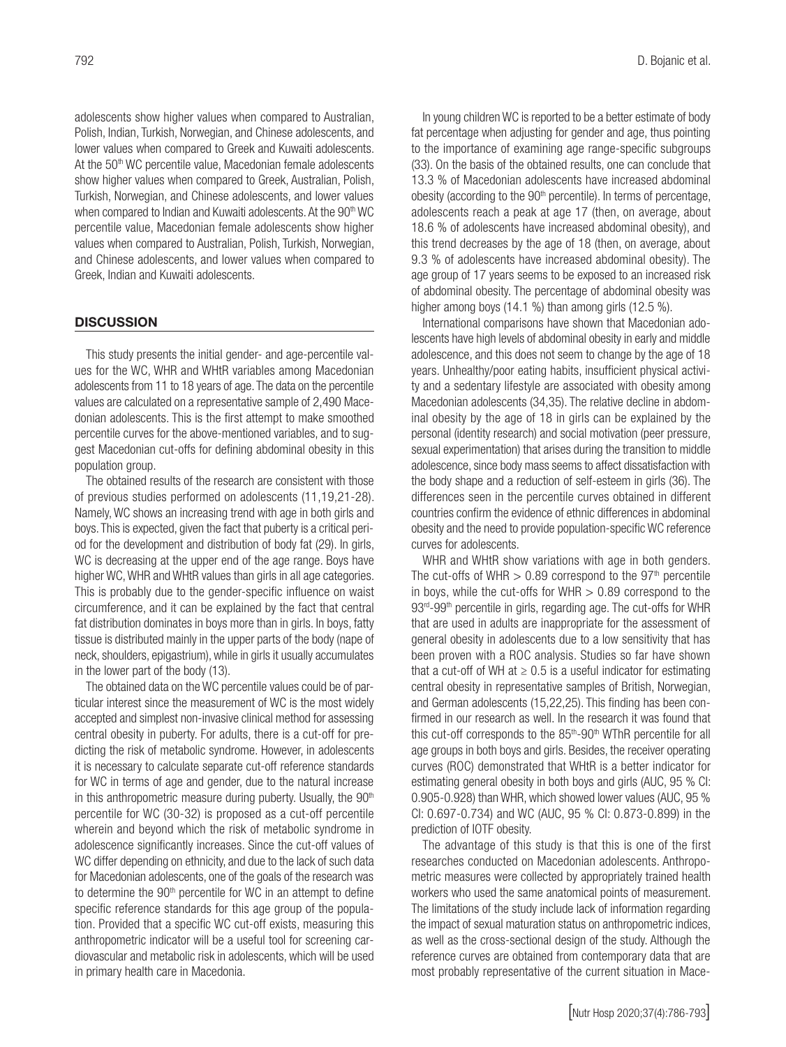adolescents show higher values when compared to Australian, Polish, Indian, Turkish, Norwegian, and Chinese adolescents, and lower values when compared to Greek and Kuwaiti adolescents. At the 50<sup>th</sup> WC percentile value, Macedonian female adolescents show higher values when compared to Greek, Australian, Polish, Turkish, Norwegian, and Chinese adolescents, and lower values when compared to Indian and Kuwaiti adolescents. At the 90<sup>th</sup> WC percentile value, Macedonian female adolescents show higher values when compared to Australian, Polish, Turkish, Norwegian, and Chinese adolescents, and lower values when compared to Greek, Indian and Kuwaiti adolescents.

#### **DISCUSSION**

This study presents the initial gender- and age-percentile values for the WC, WHR and WHtR variables among Macedonian adolescents from 11 to 18 years of age. The data on the percentile values are calculated on a representative sample of 2,490 Mace donian adolescents. This is the first attempt to make smoothed percentile curves for the above-mentioned variables, and to suggest Macedonian cut-offs for defining abdominal obesity in this population group.

The obtained results of the research are consistent with those of previous studies performed on adolescents (11,19,21-28). Namely, WC shows an increasing trend with age in both girls and boys. This is expected, given the fact that puberty is a critical period for the development and distribution of body fat (29). In girls, WC is decreasing at the upper end of the age range. Boys have higher WC, WHR and WHtR values than girls in all age categories. This is probably due to the gender-specific influence on waist circumference, and it can be explained by the fact that central fat distribution dominates in boys more than in girls. In boys, fatty tissue is distributed mainly in the upper parts of the body (nape of neck, shoulders, epigastrium), while in girls it usually accumulates in the lower part of the body (13).

The obtained data on the WC percentile values could be of particular interest since the measurement of WC is the most widely accepted and simplest non-invasive clinical method for assessing central obesity in puberty. For adults, there is a cut-off for predicting the risk of metabolic syndrome. However, in adolescents it is necessary to calculate separate cut-off reference standards for WC in terms of age and gender, due to the natural increase in this anthropometric measure during puberty. Usually, the  $90<sup>th</sup>$ percentile for WC (30-32) is proposed as a cut-off percentile wherein and beyond which the risk of metabolic syndrome in adolescence significantly increases. Since the cut-off values of WC differ depending on ethnicity, and due to the lack of such data for Macedonian adolescents, one of the goals of the research was to determine the 90<sup>th</sup> percentile for WC in an attempt to define specific reference standards for this age group of the population. Provided that a specific WC cut-off exists, measuring this anthropometric indicator will be a useful tool for screening cardiovascular and metabolic risk in adolescents, which will be used in primary health care in Macedonia.

In young children WC is reported to be a better estimate of body fat percentage when adjusting for gender and age, thus pointing to the importance of examining age range-specific subgroups (33). On the basis of the obtained results, one can conclude that 13.3 % of Macedonian adolescents have increased abdominal obesity (according to the  $90<sup>th</sup>$  percentile). In terms of percentage, adolescents reach a peak at age 17 (then, on average, about 18.6 % of adolescents have increased abdominal obesity), and this trend decreases by the age of 18 (then, on average, about 9.3 % of adolescents have increased abdominal obesity). The age group of 17 years seems to be exposed to an increased risk of abdominal obesity. The percentage of abdominal obesity was higher among boys (14.1 %) than among girls (12.5 %).

International comparisons have shown that Macedonian adolescents have high levels of abdominal obesity in early and middle adolescence, and this does not seem to change by the age of 18 years. Unhealthy/poor eating habits, insufficient physical activity and a sedentary lifestyle are associated with obesity among Macedonian adolescents (34,35). The relative decline in abdominal obesity by the age of 18 in girls can be explained by the personal (identity research) and social motivation (peer pressure, sexual experimentation) that arises during the transition to middle adolescence, since body mass seems to affect dissatisfaction with the body shape and a reduction of self-esteem in girls (36). The differences seen in the percentile curves obtained in different countries confirm the evidence of ethnic differences in abdominal obesity and the need to provide population-specific WC reference curves for adolescents.

WHR and WHtR show variations with age in both genders. The cut-offs of WHR  $> 0.89$  correspond to the 97<sup>th</sup> percentile in boys, while the cut-offs for  $WHR > 0.89$  correspond to the 93<sup>rd</sup>-99<sup>th</sup> percentile in girls, regarding age. The cut-offs for WHR that are used in adults are inappropriate for the assessment of general obesity in adolescents due to a low sensitivity that has been proven with a ROC analysis. Studies so far have shown that a cut-off of WH at  $\geq 0.5$  is a useful indicator for estimating central obesity in representative samples of British, Norwegian, and German adolescents (15,22,25). This finding has been confirmed in our research as well. In the research it was found that this cut-off corresponds to the 85<sup>th</sup>-90<sup>th</sup> WThR percentile for all age groups in both boys and girls. Besides, the receiver operating curves (ROC) demonstrated that WHtR is a better indicator for estimating general obesity in both boys and girls (AUC, 95 % CI: 0.905-0.928) than WHR, which showed lower values (AUC, 95 % CI: 0.697-0.734) and WC (AUC, 95 % CI: 0.873-0.899) in the prediction of IOTF obesity.

The advantage of this study is that this is one of the first researches conducted on Macedonian adolescents. Anthropometric measures were collected by appropriately trained health workers who used the same anatomical points of measurement. The limitations of the study include lack of information regarding the impact of sexual maturation status on anthropometric indices, as well as the cross-sectional design of the study. Although the reference curves are obtained from contemporary data that are most probably representative of the current situation in Mace-